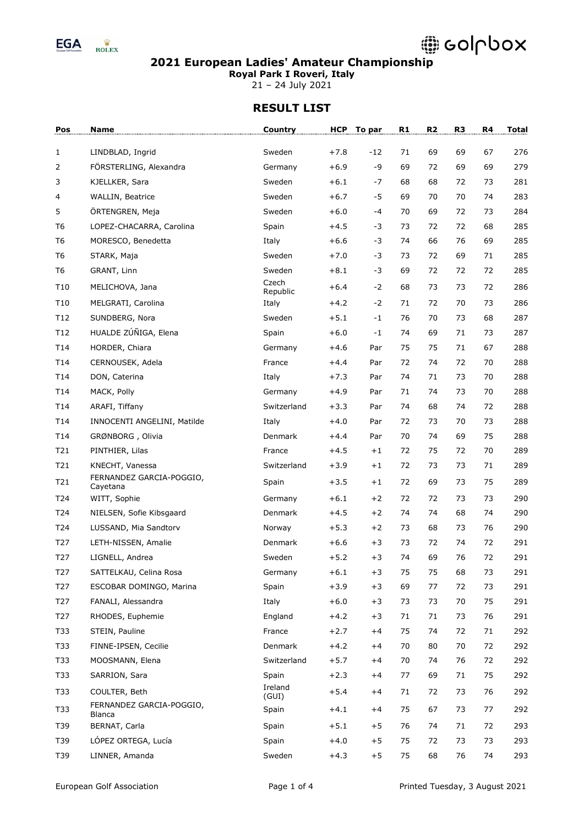

**Royal Park I Roveri, Italy**

21 – 24 July 2021

| Pos             | <b>Name</b>                               | Country           | <b>HCP</b> | To par | R1 | R <sub>2</sub> | R <sub>3</sub> | R4 | <b>Total</b> |
|-----------------|-------------------------------------------|-------------------|------------|--------|----|----------------|----------------|----|--------------|
| 1               | LINDBLAD, Ingrid                          | Sweden            | $+7.8$     | -12    | 71 | 69             | 69             | 67 | 276          |
| 2               | FÖRSTERLING, Alexandra                    | Germany           | $+6.9$     | -9     | 69 | 72             | 69             | 69 | 279          |
| 3               | KJELLKER, Sara                            | Sweden            | $+6.1$     | -7     | 68 | 68             | 72             | 73 | 281          |
| 4               | <b>WALLIN, Beatrice</b>                   | Sweden            | $+6.7$     | -5     | 69 | 70             | 70             | 74 | 283          |
| 5               | ÖRTENGREN, Meja                           | Sweden            | $+6.0$     | -4     | 70 | 69             | 72             | 73 | 284          |
| T <sub>6</sub>  | LOPEZ-CHACARRA, Carolina                  | Spain             | $+4.5$     | -3     | 73 | 72             | 72             | 68 | 285          |
| T <sub>6</sub>  | MORESCO, Benedetta                        | Italy             | $+6.6$     | -3     | 74 | 66             | 76             | 69 | 285          |
| T <sub>6</sub>  | STARK, Maja                               | Sweden            | $+7.0$     | -3     | 73 | 72             | 69             | 71 | 285          |
| T <sub>6</sub>  | GRANT, Linn                               | Sweden            | $+8.1$     | -3     | 69 | 72             | 72             | 72 | 285          |
| T <sub>10</sub> | MELICHOVA, Jana                           | Czech             | $+6.4$     | $-2$   | 68 | 73             | 73             | 72 | 286          |
| T10             | MELGRATI, Carolina                        | Republic<br>Italy | $+4.2$     | $-2$   | 71 | 72             | 70             | 73 | 286          |
| T <sub>12</sub> | SUNDBERG, Nora                            | Sweden            | $+5.1$     | $-1$   | 76 | 70             | 73             | 68 | 287          |
| T12             | HUALDE ZÚÑIGA, Elena                      | Spain             | $+6.0$     | $-1$   | 74 | 69             | 71             | 73 | 287          |
| T14             | HORDER, Chiara                            | Germany           | +4.6       | Par    | 75 | 75             | 71             | 67 | 288          |
| T14             | CERNOUSEK, Adela                          | France            | $+4.4$     | Par    | 72 | 74             | 72             | 70 | 288          |
| T14             | DON, Caterina                             | Italy             | $+7.3$     | Par    | 74 | 71             | 73             | 70 | 288          |
| T14             | MACK, Polly                               | Germany           | $+4.9$     | Par    | 71 | 74             | 73             | 70 | 288          |
| T14             | ARAFI, Tiffany                            | Switzerland       | $+3.3$     | Par    | 74 | 68             | 74             | 72 | 288          |
| T14             | INNOCENTI ANGELINI, Matilde               | Italy             | $+4.0$     | Par    | 72 | 73             | 70             | 73 | 288          |
| T14             | GRØNBORG, Olivia                          | Denmark           | $+4.4$     | Par    | 70 | 74             | 69             | 75 | 288          |
| T21             | PINTHIER, Lilas                           | France            | $+4.5$     | $+1$   | 72 | 75             | 72             | 70 | 289          |
| T21             | KNECHT, Vanessa                           | Switzerland       | $+3.9$     | $+1$   | 72 | 73             | 73             | 71 | 289          |
| T21             | FERNANDEZ GARCIA-POGGIO,<br>Cayetana      | Spain             | $+3.5$     | $+1$   | 72 | 69             | 73             | 75 | 289          |
| T24             | WITT, Sophie                              | Germany           | $+6.1$     | $+2$   | 72 | 72             | 73             | 73 | 290          |
| T24             | NIELSEN, Sofie Kibsgaard                  | Denmark           | $+4.5$     | $+2$   | 74 | 74             | 68             | 74 | 290          |
| T24             | LUSSAND, Mia Sandtorv                     | Norway            | $+5.3$     | $+2$   | 73 | 68             | 73             | 76 | 290          |
| T <sub>27</sub> | LETH-NISSEN, Amalie                       | Denmark           | $+6.6$     | $+3$   | 73 | 72             | 74             | 72 | 291          |
| T <sub>27</sub> | LIGNELL, Andrea                           | Sweden            | $+5.2$     | $+3$   | 74 | 69             | 76             | 72 | 291          |
| T <sub>27</sub> | SATTELKAU, Celina Rosa                    | Germany           | $+6.1$     | $+3$   | 75 | 75             | 68             | 73 | 291          |
| T <sub>27</sub> | ESCOBAR DOMINGO, Marina                   | Spain             | $+3.9$     | $+3$   | 69 | 77             | 72             | 73 | 291          |
| T <sub>27</sub> | FANALI, Alessandra                        | Italy             | $+6.0$     | $+3$   | 73 | 73             | 70             | 75 | 291          |
| T <sub>27</sub> | RHODES, Euphemie                          | England           | $+4.2$     | $+3$   | 71 | 71             | 73             | 76 | 291          |
| T33             | STEIN, Pauline                            | France            | $+2.7$     | $+4$   | 75 | 74             | 72             | 71 | 292          |
| T33             | FINNE-IPSEN, Cecilie                      | Denmark           | $+4.2$     | $+4$   | 70 | 80             | 70             | 72 | 292          |
| T33             | MOOSMANN, Elena                           | Switzerland       | $+5.7$     | $+4$   | 70 | 74             | 76             | 72 | 292          |
| T33             | SARRION, Sara                             | Spain             | $+2.3$     | $+4$   | 77 | 69             | 71             | 75 | 292          |
| T33             | COULTER, Beth                             | Ireland<br>(GUI)  | $+5.4$     | $+4$   | 71 | 72             | 73             | 76 | 292          |
| T33             | FERNANDEZ GARCIA-POGGIO,<br><b>Blanca</b> | Spain             | $+4.1$     | $+4$   | 75 | 67             | 73             | 77 | 292          |
| T39             | BERNAT, Carla                             | Spain             | $+5.1$     | $+5$   | 76 | 74             | 71             | 72 | 293          |
| T39             | LÓPEZ ORTEGA, Lucía                       | Spain             | $+4.0$     | $+5$   | 75 | 72             | 73             | 73 | 293          |
| T39             | LINNER, Amanda                            | Sweden            | $+4.3$     | $+5$   | 75 | 68             | 76             | 74 | 293          |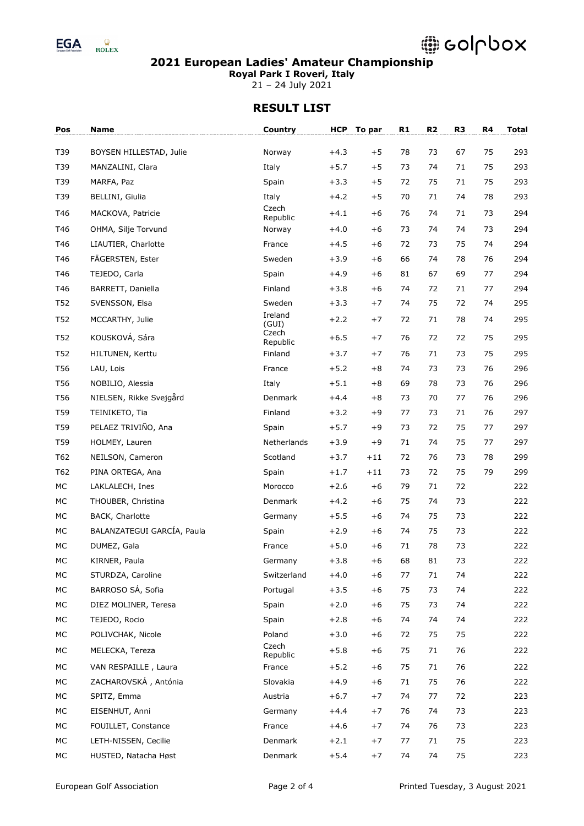

**Royal Park I Roveri, Italy**

21 – 24 July 2021

| Pos | Name                       | Country            |        | HCP To par | R1 | R <sub>2</sub> | R <sub>3</sub> | R4 | <b>Total</b> |
|-----|----------------------------|--------------------|--------|------------|----|----------------|----------------|----|--------------|
| T39 | BOYSEN HILLESTAD, Julie    | Norway             | $+4.3$ | $+5$       | 78 | 73             | 67             | 75 | 293          |
| T39 | MANZALINI, Clara           | Italy              | $+5.7$ | $+5$       | 73 | 74             | 71             | 75 | 293          |
| T39 | MARFA, Paz                 | Spain              | $+3.3$ | $+5$       | 72 | 75             | 71             | 75 | 293          |
| T39 | BELLINI, Giulia            | Italy              | $+4.2$ | $+5$       | 70 | 71             | 74             | 78 | 293          |
| T46 | MACKOVA, Patricie          | Czech              | $+4.1$ | $+6$       | 76 | 74             | 71             | 73 | 294          |
| T46 | OHMA, Silje Torvund        | Republic<br>Norway | $+4.0$ | $+6$       | 73 | 74             | 74             | 73 | 294          |
| T46 | LIAUTIER, Charlotte        | France             | $+4.5$ | $+6$       | 72 | 73             | 75             | 74 | 294          |
| T46 | FÄGERSTEN, Ester           | Sweden             | $+3.9$ | $+6$       | 66 | 74             | 78             | 76 | 294          |
| T46 | TEJEDO, Carla              | Spain              | $+4.9$ | $+6$       | 81 | 67             | 69             | 77 | 294          |
| T46 | BARRETT, Daniella          | Finland            | $+3.8$ | $+6$       | 74 | 72             | 71             | 77 | 294          |
| T52 | SVENSSON, Elsa             | Sweden             | $+3.3$ | $+7$       | 74 | 75             | 72             | 74 | 295          |
| T52 | MCCARTHY, Julie            | Ireland<br>(GUI)   | $+2.2$ | $+7$       | 72 | 71             | 78             | 74 | 295          |
| T52 | KOUSKOVÁ, Sára             | Czech<br>Republic  | $+6.5$ | $+7$       | 76 | 72             | 72             | 75 | 295          |
| T52 | HILTUNEN, Kerttu           | Finland            | $+3.7$ | $+7$       | 76 | 71             | 73             | 75 | 295          |
| T56 | LAU, Lois                  | France             | $+5.2$ | $+8$       | 74 | 73             | 73             | 76 | 296          |
| T56 | NOBILIO, Alessia           | Italy              | $+5.1$ | $+8$       | 69 | 78             | 73             | 76 | 296          |
| T56 | NIELSEN, Rikke Svejgård    | Denmark            | $+4.4$ | $+8$       | 73 | 70             | 77             | 76 | 296          |
| T59 | TEINIKETO, Tia             | Finland            | $+3.2$ | $+9$       | 77 | 73             | 71             | 76 | 297          |
| T59 | PELAEZ TRIVIÑO, Ana        | Spain              | $+5.7$ | $+9$       | 73 | 72             | 75             | 77 | 297          |
| T59 | HOLMEY, Lauren             | Netherlands        | $+3.9$ | $+9$       | 71 | 74             | 75             | 77 | 297          |
| T62 | NEILSON, Cameron           | Scotland           | $+3.7$ | $+11$      | 72 | 76             | 73             | 78 | 299          |
| T62 | PINA ORTEGA, Ana           | Spain              | $+1.7$ | $+11$      | 73 | 72             | 75             | 79 | 299          |
| MC  | LAKLALECH, Ines            | Morocco            | $+2.6$ | $+6$       | 79 | 71             | 72             |    | 222          |
| MC  | THOUBER, Christina         | Denmark            | $+4.2$ | $+6$       | 75 | 74             | 73             |    | 222          |
| MC  | BACK, Charlotte            | Germany            | $+5.5$ | $+6$       | 74 | 75             | 73             |    | 222          |
| МC  | BALANZATEGUI GARCÍA, Paula | Spain              | $+2.9$ | $+6$       | 74 | 75             | 73             |    | 222          |
| MC  | DUMEZ, Gala                | France             | $+5.0$ | $+6$       | 71 | 78             | 73             |    | 222          |
| МC  | KIRNER, Paula              | Germany            | $+3.8$ | $+6$       | 68 | 81             | 73             |    | 222          |
| МC  | STURDZA, Caroline          | Switzerland        | $+4.0$ | $+6$       | 77 | 71             | 74             |    | 222          |
| МC  | BARROSO SÁ, Sofia          | Portugal           | $+3.5$ | $+6$       | 75 | 73             | 74             |    | 222          |
| МC  | DIEZ MOLINER, Teresa       | Spain              | $+2.0$ | $+6$       | 75 | 73             | 74             |    | 222          |
| МC  | TEJEDO, Rocio              | Spain              | $+2.8$ | $+6$       | 74 | 74             | 74             |    | 222          |
| МC  | POLIVCHAK, Nicole          | Poland             | $+3.0$ | $+6$       | 72 | 75             | 75             |    | 222          |
| МC  | MELECKA, Tereza            | Czech<br>Republic  | $+5.8$ | $+6$       | 75 | 71             | 76             |    | 222          |
| МC  | VAN RESPAILLE, Laura       | France             | $+5.2$ | $+6$       | 75 | 71             | 76             |    | 222          |
| МC  | ZACHAROVSKÁ, Antónia       | Slovakia           | $+4.9$ | $+6$       | 71 | 75             | 76             |    | 222          |
| МC  | SPITZ, Emma                | Austria            | $+6.7$ | $+7$       | 74 | 77             | 72             |    | 223          |
| МC  | EISENHUT, Anni             | Germany            | $+4.4$ | $+7$       | 76 | 74             | 73             |    | 223          |
| МC  | FOUILLET, Constance        | France             | $+4.6$ | $+7$       | 74 | 76             | 73             |    | 223          |
| МC  | LETH-NISSEN, Cecilie       | Denmark            | $+2.1$ | $+7$       | 77 | 71             | 75             |    | 223          |
| МC  | HUSTED, Natacha Høst       | Denmark            | $+5.4$ | $+7$       | 74 | 74             | 75             |    | 223          |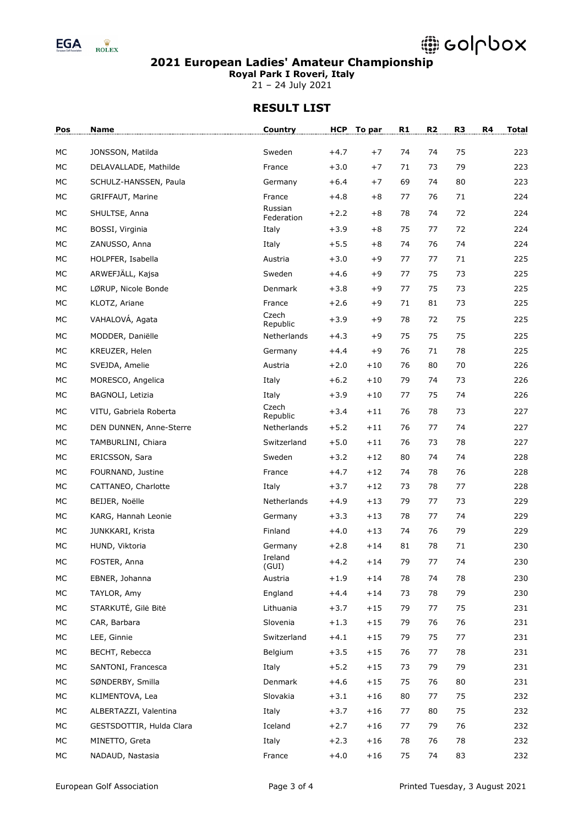

**Royal Park I Roveri, Italy**

21 – 24 July 2021

| Pos      | <b>Name</b>              | Country             | <b>HCP</b>       | To par        | R1       | R <sub>2</sub> | R3       | R <sub>4</sub> | <b>Total</b> |
|----------|--------------------------|---------------------|------------------|---------------|----------|----------------|----------|----------------|--------------|
| MC       | JONSSON, Matilda         | Sweden              | $+4.7$           | $+7$          | 74       | 74             | 75       |                | 223          |
| МC       | DELAVALLADE, Mathilde    | France              | $+3.0$           | $+7$          | 71       | 73             | 79       |                | 223          |
| MC       | SCHULZ-HANSSEN, Paula    | Germany             | $+6.4$           | $+7$          | 69       | 74             | 80       |                | 223          |
| MC       | GRIFFAUT, Marine         | France              | $+4.8$           | $+8$          | 77       | 76             | 71       |                | 224          |
| MC       | SHULTSE, Anna            | Russian             | $+2.2$           | $+8$          | 78       | 74             | 72       |                | 224          |
| MC       | BOSSI, Virginia          | Federation<br>Italy | $+3.9$           | $+8$          | 75       | 77             | 72       |                | 224          |
| MC       | ZANUSSO, Anna            | Italy               | $+5.5$           | $+8$          | 74       | 76             | 74       |                | 224          |
| MC       | HOLPFER, Isabella        | Austria             | $+3.0$           | $+9$          | 77       | 77             | 71       |                | 225          |
| MC       | ARWEFJÄLL, Kajsa         | Sweden              | $+4.6$           | $+9$          | 77       | 75             | 73       |                | 225          |
| MC       | LØRUP, Nicole Bonde      | Denmark             | $+3.8$           | $+9$          | 77       | 75             | 73       |                | 225          |
| МC       | KLOTZ, Ariane            | France              | $+2.6$           | $+9$          | 71       | 81             | 73       |                | 225          |
| MC       | VAHALOVÁ, Agata          | Czech               | $+3.9$           | $+9$          | 78       | 72             | 75       |                | 225          |
|          |                          | Republic            |                  |               |          |                |          |                |              |
| MC       | MODDER, Daniëlle         | Netherlands         | $+4.3$           | $+9$          | 75       | 75             | 75       |                | 225          |
| MC<br>MC | KREUZER, Helen           | Germany             | $+4.4$           | $+9$<br>$+10$ | 76<br>76 | 71<br>80       | 78<br>70 |                | 225<br>226   |
| MC       | SVEJDA, Amelie           | Austria<br>Italy    | $+2.0$           |               | 79       |                | 73       |                | 226          |
| MC       | MORESCO, Angelica        |                     | $+6.2$<br>$+3.9$ | $+10$         | 77       | 74<br>75       | 74       |                | 226          |
|          | BAGNOLI, Letizia         | Italy<br>Czech      |                  | $+10$         |          |                |          |                |              |
| MC       | VITU, Gabriela Roberta   | Republic            | $+3.4$           | $+11$         | 76       | 78             | 73       |                | 227          |
| MC       | DEN DUNNEN, Anne-Sterre  | Netherlands         | $+5.2$           | $+11$         | 76       | 77             | 74       |                | 227          |
| MC       | TAMBURLINI, Chiara       | Switzerland         | $+5.0$           | $+11$         | 76       | 73             | 78       |                | 227          |
| MC       | ERICSSON, Sara           | Sweden              | $+3.2$           | $+12$         | 80       | 74             | 74       |                | 228          |
| МC       | FOURNAND, Justine        | France              | $+4.7$           | $+12$         | 74       | 78             | 76       |                | 228          |
| MC       | CATTANEO, Charlotte      | Italy               | $+3.7$           | $+12$         | 73       | 78             | 77       |                | 228          |
| MC       | BEIJER, Noëlle           | Netherlands         | $+4.9$           | $+13$         | 79       | 77             | 73       |                | 229          |
| MC       | KARG, Hannah Leonie      | Germany             | $+3.3$           | $+13$         | 78       | 77             | 74       |                | 229          |
| MC       | JUNKKARI, Krista         | Finland             | $+4.0$           | $+13$         | 74       | 76             | 79       |                | 229          |
| MC       | HUND, Viktoria           | Germany             | $+2.8$           | $+14$         | 81       | 78             | 71       |                | 230          |
| MC       | FOSTER, Anna             | Ireland<br>(GUI)    | $+4.2$           | $+14$         | 79       | 77             | 74       |                | 230          |
| МC       | EBNER, Johanna           | Austria             | $+1.9$           | $+14$         | 78       | 74             | 78       |                | 230          |
| МC       | TAYLOR, Amy              | England             | $+4.4$           | $+14$         | 73       | 78             | 79       |                | 230          |
| МC       | STARKUTĖ, Gilė Bitė      | Lithuania           | $+3.7$           | $+15$         | 79       | 77             | 75       |                | 231          |
| МC       | CAR, Barbara             | Slovenia            | $+1.3$           | $+15$         | 79       | 76             | 76       |                | 231          |
| МC       | LEE, Ginnie              | Switzerland         | $+4.1$           | $+15$         | 79       | 75             | 77       |                | 231          |
| МC       | BECHT, Rebecca           | Belgium             | $+3.5$           | $+15$         | 76       | 77             | 78       |                | 231          |
| МC       | SANTONI, Francesca       | Italy               | $+5.2$           | $+15$         | 73       | 79             | 79       |                | 231          |
| МC       | SØNDERBY, Smilla         | Denmark             | $+4.6$           | $+15$         | 75       | 76             | 80       |                | 231          |
| МC       | KLIMENTOVA, Lea          | Slovakia            | $+3.1$           | $+16$         | 80       | 77             | 75       |                | 232          |
| МC       | ALBERTAZZI, Valentina    | Italy               | $+3.7$           | $+16$         | 77       | 80             | 75       |                | 232          |
| МC       | GESTSDOTTIR, Hulda Clara | Iceland             | $+2.7$           | $+16$         | 77       | 79             | 76       |                | 232          |
| МC       | MINETTO, Greta           | Italy               | $+2.3$           | $+16$         | 78       | 76             | 78       |                | 232          |
| МC       | NADAUD, Nastasia         | France              | $+4.0$           | $+16$         | 75       | 74             | 83       |                | 232          |